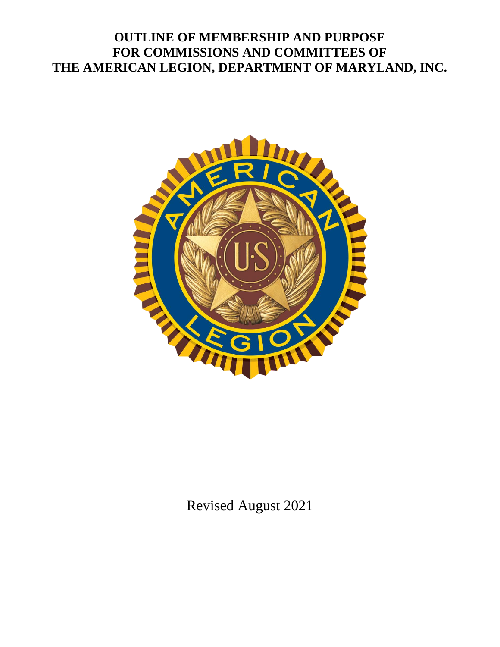# **OUTLINE OF MEMBERSHIP AND PURPOSE FOR COMMISSIONS AND COMMITTEES OF THE AMERICAN LEGION, DEPARTMENT OF MARYLAND, INC.**



Revised August 2021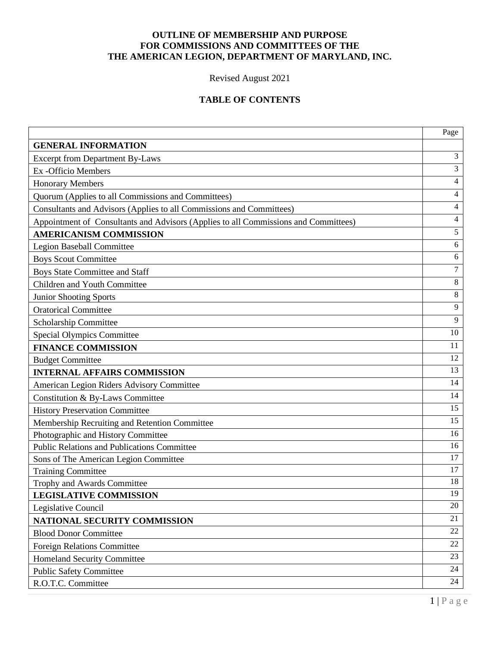# **OUTLINE OF MEMBERSHIP AND PURPOSE FOR COMMISSIONS AND COMMITTEES OF THE THE AMERICAN LEGION, DEPARTMENT OF MARYLAND, INC.**

Revised August 2021

# **TABLE OF CONTENTS**

|                                                                                     | Page   |  |  |  |
|-------------------------------------------------------------------------------------|--------|--|--|--|
| <b>GENERAL INFORMATION</b>                                                          |        |  |  |  |
| <b>Excerpt from Department By-Laws</b>                                              |        |  |  |  |
| Ex -Officio Members                                                                 | 3      |  |  |  |
| <b>Honorary Members</b>                                                             | 4      |  |  |  |
| Quorum (Applies to all Commissions and Committees)                                  |        |  |  |  |
| Consultants and Advisors (Applies to all Commissions and Committees)                |        |  |  |  |
| Appointment of Consultants and Advisors (Applies to all Commissions and Committees) | 4      |  |  |  |
| <b>AMERICANISM COMMISSION</b>                                                       | 5      |  |  |  |
| <b>Legion Baseball Committee</b>                                                    | 6      |  |  |  |
| <b>Boys Scout Committee</b>                                                         | 6      |  |  |  |
| <b>Boys State Committee and Staff</b>                                               | $\tau$ |  |  |  |
| Children and Youth Committee                                                        | 8      |  |  |  |
| <b>Junior Shooting Sports</b>                                                       | $8\,$  |  |  |  |
| <b>Oratorical Committee</b>                                                         | 9      |  |  |  |
| Scholarship Committee                                                               | 9      |  |  |  |
| <b>Special Olympics Committee</b>                                                   | 10     |  |  |  |
| <b>FINANCE COMMISSION</b>                                                           | 11     |  |  |  |
| <b>Budget Committee</b>                                                             | 12     |  |  |  |
| <b>INTERNAL AFFAIRS COMMISSION</b>                                                  | 13     |  |  |  |
| American Legion Riders Advisory Committee                                           | 14     |  |  |  |
| Constitution & By-Laws Committee                                                    | 14     |  |  |  |
| <b>History Preservation Committee</b>                                               | 15     |  |  |  |
| Membership Recruiting and Retention Committee                                       | 15     |  |  |  |
| Photographic and History Committee                                                  | 16     |  |  |  |
| <b>Public Relations and Publications Committee</b>                                  | 16     |  |  |  |
| Sons of The American Legion Committee                                               | 17     |  |  |  |
| <b>Training Committee</b>                                                           | 17     |  |  |  |
| Trophy and Awards Committee                                                         | 18     |  |  |  |
| <b>LEGISLATIVE COMMISSION</b>                                                       | 19     |  |  |  |
| Legislative Council                                                                 | 20     |  |  |  |
| NATIONAL SECURITY COMMISSION                                                        | 21     |  |  |  |
| <b>Blood Donor Committee</b>                                                        | 22     |  |  |  |
| <b>Foreign Relations Committee</b>                                                  | 22     |  |  |  |
| <b>Homeland Security Committee</b>                                                  | 23     |  |  |  |
| <b>Public Safety Committee</b>                                                      | 24     |  |  |  |
| R.O.T.C. Committee                                                                  | 24     |  |  |  |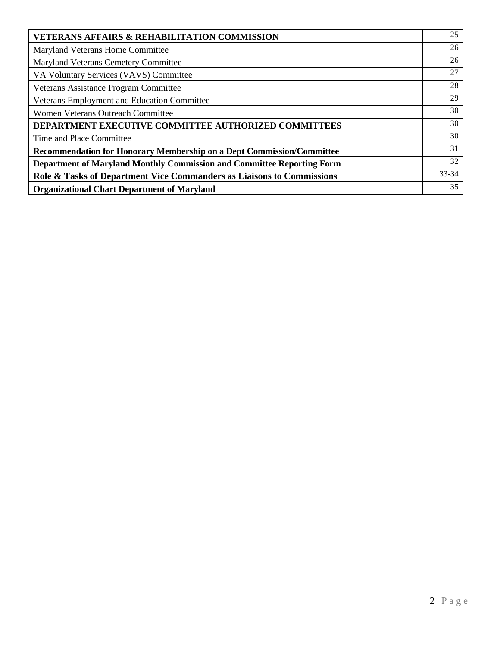| <b>VETERANS AFFAIRS &amp; REHABILITATION COMMISSION</b>                       | 25 |
|-------------------------------------------------------------------------------|----|
| Maryland Veterans Home Committee                                              | 26 |
| Maryland Veterans Cemetery Committee                                          | 26 |
| VA Voluntary Services (VAVS) Committee                                        | 27 |
| Veterans Assistance Program Committee                                         | 28 |
| Veterans Employment and Education Committee                                   | 29 |
| <b>Women Veterans Outreach Committee</b>                                      | 30 |
| DEPARTMENT EXECUTIVE COMMITTEE AUTHORIZED COMMITTEES                          | 30 |
| Time and Place Committee                                                      | 30 |
| <b>Recommendation for Honorary Membership on a Dept Commission/Committee</b>  | 31 |
| <b>Department of Maryland Monthly Commission and Committee Reporting Form</b> | 32 |
| Role & Tasks of Department Vice Commanders as Liaisons to Commissions         |    |
| <b>Organizational Chart Department of Maryland</b>                            | 35 |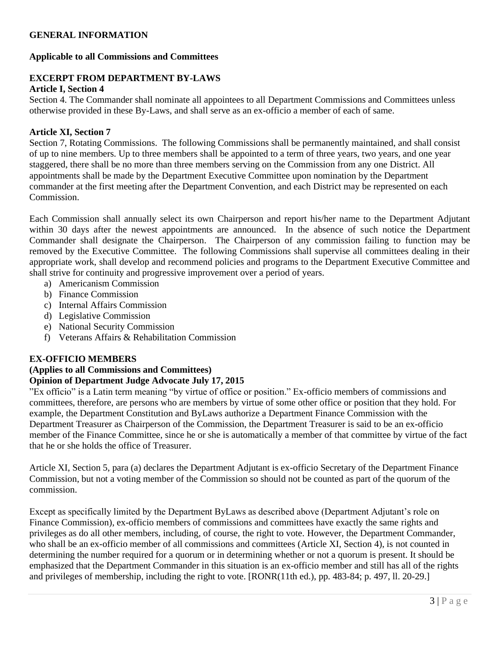### **GENERAL INFORMATION**

### **Applicable to all Commissions and Committees**

# **EXCERPT FROM DEPARTMENT BY-LAWS**

#### **Article I, Section 4**

Section 4. The Commander shall nominate all appointees to all Department Commissions and Committees unless otherwise provided in these By-Laws, and shall serve as an ex-officio a member of each of same.

### **Article XI, Section 7**

Section 7, Rotating Commissions. The following Commissions shall be permanently maintained, and shall consist of up to nine members. Up to three members shall be appointed to a term of three years, two years, and one year staggered, there shall be no more than three members serving on the Commission from any one District. All appointments shall be made by the Department Executive Committee upon nomination by the Department commander at the first meeting after the Department Convention, and each District may be represented on each Commission.

Each Commission shall annually select its own Chairperson and report his/her name to the Department Adjutant within 30 days after the newest appointments are announced. In the absence of such notice the Department Commander shall designate the Chairperson. The Chairperson of any commission failing to function may be removed by the Executive Committee. The following Commissions shall supervise all committees dealing in their appropriate work, shall develop and recommend policies and programs to the Department Executive Committee and shall strive for continuity and progressive improvement over a period of years.

- a) Americanism Commission
- b) Finance Commission
- c) Internal Affairs Commission
- d) Legislative Commission
- e) National Security Commission
- f) Veterans Affairs & Rehabilitation Commission

### **EX-OFFICIO MEMBERS**

### **(Applies to all Commissions and Committees) Opinion of Department Judge Advocate July 17, 2015**

"Ex officio" is a Latin term meaning "by virtue of office or position." Ex-officio members of commissions and committees, therefore, are persons who are members by virtue of some other office or position that they hold. For example, the Department Constitution and ByLaws authorize a Department Finance Commission with the Department Treasurer as Chairperson of the Commission, the Department Treasurer is said to be an ex-officio member of the Finance Committee, since he or she is automatically a member of that committee by virtue of the fact that he or she holds the office of Treasurer.

Article XI, Section 5, para (a) declares the Department Adjutant is ex-officio Secretary of the Department Finance Commission, but not a voting member of the Commission so should not be counted as part of the quorum of the commission.

Except as specifically limited by the Department ByLaws as described above (Department Adjutant's role on Finance Commission), ex-officio members of commissions and committees have exactly the same rights and privileges as do all other members, including, of course, the right to vote. However, the Department Commander, who shall be an ex-officio member of all commissions and committees (Article XI, Section 4), is not counted in determining the number required for a quorum or in determining whether or not a quorum is present. It should be emphasized that the Department Commander in this situation is an ex-officio member and still has all of the rights and privileges of membership, including the right to vote. [RONR(11th ed.), pp. 483-84; p. 497, ll. 20-29.]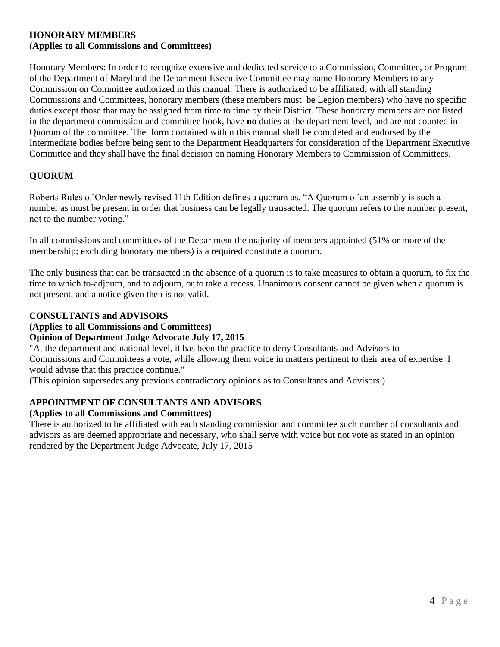### **HONORARY MEMBERS (Applies to all Commissions and Committees)**

Honorary Members: In order to recognize extensive and dedicated service to a Commission, Committee, or Program of the Department of Maryland the Department Executive Committee may name Honorary Members to any Commission on Committee authorized in this manual. There is authorized to be affiliated, with all standing Commissions and Committees, honorary members (these members must be Legion members) who have no specific duties except those that may be assigned from time to time by their District. These honorary members are not listed in the department commission and committee book, have **no** duties at the department level, and are not counted in Quorum of the committee. The form contained within this manual shall be completed and endorsed by the Intermediate bodies before being sent to the Department Headquarters for consideration of the Department Executive Committee and they shall have the final decision on naming Honorary Members to Commission of Committees.

# **QUORUM**

Roberts Rules of Order newly revised 11th Edition defines a quorum as, "A Quorum of an assembly is such a number as must be present in order that business can be legally transacted. The quorum refers to the number present, not to the number voting."

In all commissions and committees of the Department the majority of members appointed (51% or more of the membership; excluding honorary members) is a required constitute a quorum.

The only business that can be transacted in the absence of a quorum is to take measures to obtain a quorum, to fix the time to which to-adjourn, and to adjourn, or to take a recess. Unanimous consent cannot be given when a quorum is not present, and a notice given then is not valid.

### **CONSULTANTS and ADVISORS**

### **(Applies to all Commissions and Committees)**

### **Opinion of Department Judge Advocate July 17, 2015**

"At the department and national level, it has been the practice to deny Consultants and Advisors to Commissions and Committees a vote, while allowing them voice in matters pertinent to their area of expertise. I would advise that this practice continue."

(This opinion supersedes any previous contradictory opinions as to Consultants and Advisors.)

# **APPOINTMENT OF CONSULTANTS AND ADVISORS**

### **(Applies to all Commissions and Committees)**

There is authorized to be affiliated with each standing commission and committee such number of consultants and advisors as are deemed appropriate and necessary, who shall serve with voice but not vote as stated in an opinion rendered by the Department Judge Advocate, July 17, 2015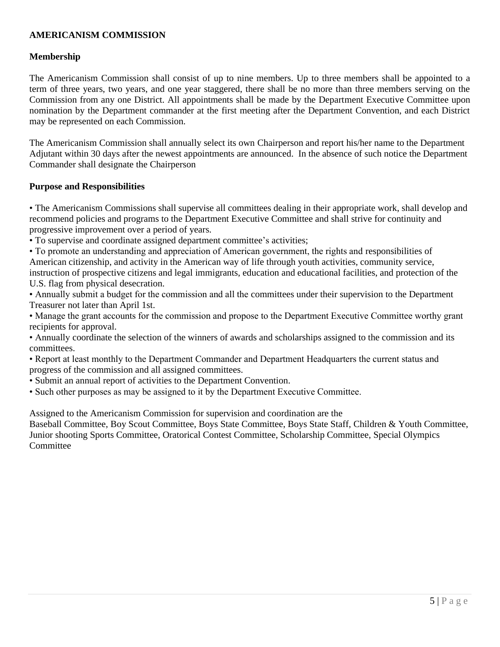# **AMERICANISM COMMISSION**

### **Membership**

The Americanism Commission shall consist of up to nine members. Up to three members shall be appointed to a term of three years, two years, and one year staggered, there shall be no more than three members serving on the Commission from any one District. All appointments shall be made by the Department Executive Committee upon nomination by the Department commander at the first meeting after the Department Convention, and each District may be represented on each Commission.

The Americanism Commission shall annually select its own Chairperson and report his/her name to the Department Adjutant within 30 days after the newest appointments are announced. In the absence of such notice the Department Commander shall designate the Chairperson

### **Purpose and Responsibilities**

• The Americanism Commissions shall supervise all committees dealing in their appropriate work, shall develop and recommend policies and programs to the Department Executive Committee and shall strive for continuity and progressive improvement over a period of years.

• To supervise and coordinate assigned department committee's activities;

• To promote an understanding and appreciation of American government, the rights and responsibilities of American citizenship, and activity in the American way of life through youth activities, community service, instruction of prospective citizens and legal immigrants, education and educational facilities, and protection of the U.S. flag from physical desecration.

• Annually submit a budget for the commission and all the committees under their supervision to the Department Treasurer not later than April 1st.

• Manage the grant accounts for the commission and propose to the Department Executive Committee worthy grant recipients for approval.

• Annually coordinate the selection of the winners of awards and scholarships assigned to the commission and its committees.

• Report at least monthly to the Department Commander and Department Headquarters the current status and progress of the commission and all assigned committees.

- Submit an annual report of activities to the Department Convention.
- Such other purposes as may be assigned to it by the Department Executive Committee.

Assigned to the Americanism Commission for supervision and coordination are the

Baseball Committee, Boy Scout Committee, Boys State Committee, Boys State Staff, Children & Youth Committee, Junior shooting Sports Committee, Oratorical Contest Committee, Scholarship Committee, Special Olympics **Committee**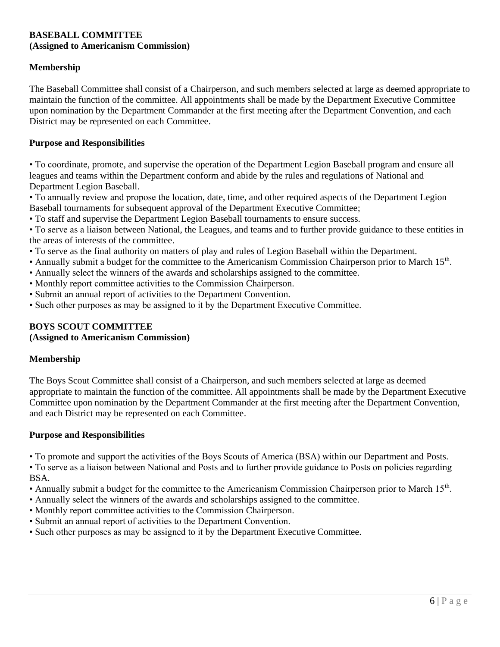### **BASEBALL COMMITTEE (Assigned to Americanism Commission)**

# **Membership**

The Baseball Committee shall consist of a Chairperson, and such members selected at large as deemed appropriate to maintain the function of the committee. All appointments shall be made by the Department Executive Committee upon nomination by the Department Commander at the first meeting after the Department Convention, and each District may be represented on each Committee.

### **Purpose and Responsibilities**

• To coordinate, promote, and supervise the operation of the Department Legion Baseball program and ensure all leagues and teams within the Department conform and abide by the rules and regulations of National and Department Legion Baseball.

• To annually review and propose the location, date, time, and other required aspects of the Department Legion Baseball tournaments for subsequent approval of the Department Executive Committee;

• To staff and supervise the Department Legion Baseball tournaments to ensure success.

• To serve as a liaison between National, the Leagues, and teams and to further provide guidance to these entities in the areas of interests of the committee.

- To serve as the final authority on matters of play and rules of Legion Baseball within the Department.
- Annually submit a budget for the committee to the Americanism Commission Chairperson prior to March 15<sup>th</sup>.
- Annually select the winners of the awards and scholarships assigned to the committee.
- Monthly report committee activities to the Commission Chairperson.
- Submit an annual report of activities to the Department Convention.
- Such other purposes as may be assigned to it by the Department Executive Committee.

# **BOYS SCOUT COMMITTEE**

# **(Assigned to Americanism Commission)**

### **Membership**

The Boys Scout Committee shall consist of a Chairperson, and such members selected at large as deemed appropriate to maintain the function of the committee. All appointments shall be made by the Department Executive Committee upon nomination by the Department Commander at the first meeting after the Department Convention, and each District may be represented on each Committee.

### **Purpose and Responsibilities**

• To promote and support the activities of the Boys Scouts of America (BSA) within our Department and Posts.

• To serve as a liaison between National and Posts and to further provide guidance to Posts on policies regarding BSA.

- Annually submit a budget for the committee to the Americanism Commission Chairperson prior to March 15<sup>th</sup>.
- Annually select the winners of the awards and scholarships assigned to the committee.
- Monthly report committee activities to the Commission Chairperson.
- Submit an annual report of activities to the Department Convention.
- Such other purposes as may be assigned to it by the Department Executive Committee.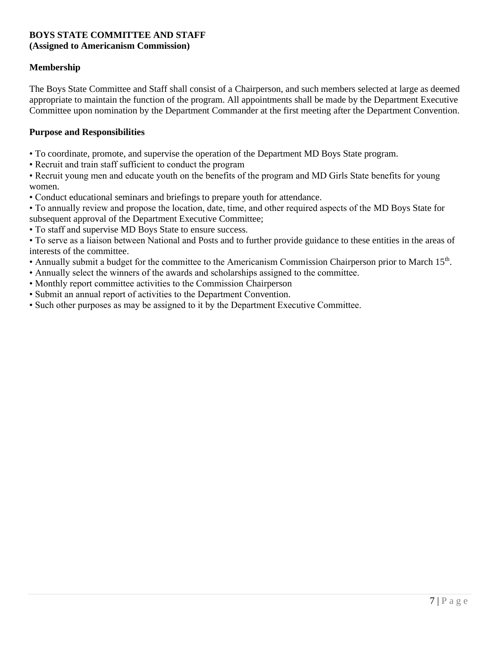### **BOYS STATE COMMITTEE AND STAFF (Assigned to Americanism Commission)**

# **Membership**

The Boys State Committee and Staff shall consist of a Chairperson, and such members selected at large as deemed appropriate to maintain the function of the program. All appointments shall be made by the Department Executive Committee upon nomination by the Department Commander at the first meeting after the Department Convention.

### **Purpose and Responsibilities**

- To coordinate, promote, and supervise the operation of the Department MD Boys State program.
- Recruit and train staff sufficient to conduct the program
- Recruit young men and educate youth on the benefits of the program and MD Girls State benefits for young women.
- Conduct educational seminars and briefings to prepare youth for attendance.
- To annually review and propose the location, date, time, and other required aspects of the MD Boys State for subsequent approval of the Department Executive Committee;
- To staff and supervise MD Boys State to ensure success.

• To serve as a liaison between National and Posts and to further provide guidance to these entities in the areas of interests of the committee.

- Annually submit a budget for the committee to the Americanism Commission Chairperson prior to March 15<sup>th</sup>.
- Annually select the winners of the awards and scholarships assigned to the committee.
- Monthly report committee activities to the Commission Chairperson
- Submit an annual report of activities to the Department Convention.
- Such other purposes as may be assigned to it by the Department Executive Committee.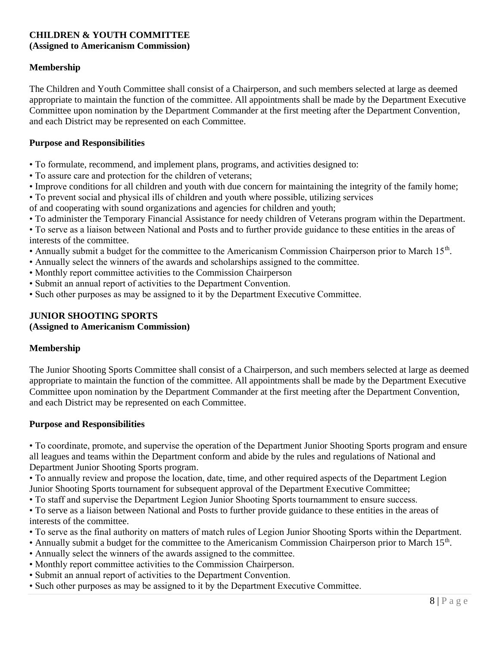#### **CHILDREN & YOUTH COMMITTEE (Assigned to Americanism Commission)**

# **Membership**

The Children and Youth Committee shall consist of a Chairperson, and such members selected at large as deemed appropriate to maintain the function of the committee. All appointments shall be made by the Department Executive Committee upon nomination by the Department Commander at the first meeting after the Department Convention, and each District may be represented on each Committee.

### **Purpose and Responsibilities**

- To formulate, recommend, and implement plans, programs, and activities designed to:
- To assure care and protection for the children of veterans;
- Improve conditions for all children and youth with due concern for maintaining the integrity of the family home;
- To prevent social and physical ills of children and youth where possible, utilizing services
- of and cooperating with sound organizations and agencies for children and youth;
- To administer the Temporary Financial Assistance for needy children of Veterans program within the Department.
- To serve as a liaison between National and Posts and to further provide guidance to these entities in the areas of interests of the committee.
- Annually submit a budget for the committee to the Americanism Commission Chairperson prior to March 15<sup>th</sup>.
- Annually select the winners of the awards and scholarships assigned to the committee.
- Monthly report committee activities to the Commission Chairperson
- Submit an annual report of activities to the Department Convention.
- Such other purposes as may be assigned to it by the Department Executive Committee.

# **JUNIOR SHOOTING SPORTS**

# **(Assigned to Americanism Commission)**

# **Membership**

The Junior Shooting Sports Committee shall consist of a Chairperson, and such members selected at large as deemed appropriate to maintain the function of the committee. All appointments shall be made by the Department Executive Committee upon nomination by the Department Commander at the first meeting after the Department Convention, and each District may be represented on each Committee.

### **Purpose and Responsibilities**

• To coordinate, promote, and supervise the operation of the Department Junior Shooting Sports program and ensure all leagues and teams within the Department conform and abide by the rules and regulations of National and Department Junior Shooting Sports program.

• To annually review and propose the location, date, time, and other required aspects of the Department Legion Junior Shooting Sports tournament for subsequent approval of the Department Executive Committee;

• To staff and supervise the Department Legion Junior Shooting Sports tournamment to ensure success.

• To serve as a liaison between National and Posts to further provide guidance to these entities in the areas of interests of the committee.

- To serve as the final authority on matters of match rules of Legion Junior Shooting Sports within the Department.
- Annually submit a budget for the committee to the Americanism Commission Chairperson prior to March 15<sup>th</sup>.
- Annually select the winners of the awards assigned to the committee.
- Monthly report committee activities to the Commission Chairperson.
- Submit an annual report of activities to the Department Convention.
- Such other purposes as may be assigned to it by the Department Executive Committee.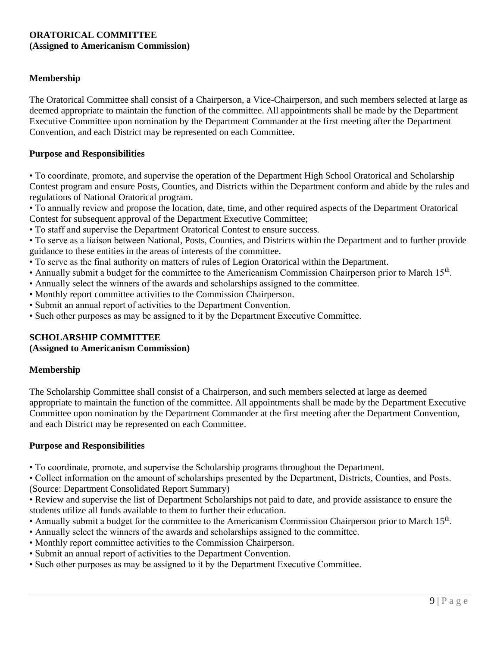### **ORATORICAL COMMITTEE (Assigned to Americanism Commission)**

### **Membership**

The Oratorical Committee shall consist of a Chairperson, a Vice-Chairperson, and such members selected at large as deemed appropriate to maintain the function of the committee. All appointments shall be made by the Department Executive Committee upon nomination by the Department Commander at the first meeting after the Department Convention, and each District may be represented on each Committee.

#### **Purpose and Responsibilities**

• To coordinate, promote, and supervise the operation of the Department High School Oratorical and Scholarship Contest program and ensure Posts, Counties, and Districts within the Department conform and abide by the rules and regulations of National Oratorical program.

• To annually review and propose the location, date, time, and other required aspects of the Department Oratorical Contest for subsequent approval of the Department Executive Committee;

• To staff and supervise the Department Oratorical Contest to ensure success.

• To serve as a liaison between National, Posts, Counties, and Districts within the Department and to further provide guidance to these entities in the areas of interests of the committee.

- To serve as the final authority on matters of rules of Legion Oratorical within the Department.
- Annually submit a budget for the committee to the Americanism Commission Chairperson prior to March 15<sup>th</sup>.
- Annually select the winners of the awards and scholarships assigned to the committee.
- Monthly report committee activities to the Commission Chairperson.
- Submit an annual report of activities to the Department Convention.
- Such other purposes as may be assigned to it by the Department Executive Committee.

### **SCHOLARSHIP COMMITTEE**

#### **(Assigned to Americanism Commission)**

#### **Membership**

The Scholarship Committee shall consist of a Chairperson, and such members selected at large as deemed appropriate to maintain the function of the committee. All appointments shall be made by the Department Executive Committee upon nomination by the Department Commander at the first meeting after the Department Convention, and each District may be represented on each Committee.

#### **Purpose and Responsibilities**

• To coordinate, promote, and supervise the Scholarship programs throughout the Department.

• Collect information on the amount of scholarships presented by the Department, Districts, Counties, and Posts. (Source: Department Consolidated Report Summary)

• Review and supervise the list of Department Scholarships not paid to date, and provide assistance to ensure the students utilize all funds available to them to further their education.

- Annually submit a budget for the committee to the Americanism Commission Chairperson prior to March 15<sup>th</sup>.
- Annually select the winners of the awards and scholarships assigned to the committee.
- Monthly report committee activities to the Commission Chairperson.
- Submit an annual report of activities to the Department Convention.
- Such other purposes as may be assigned to it by the Department Executive Committee.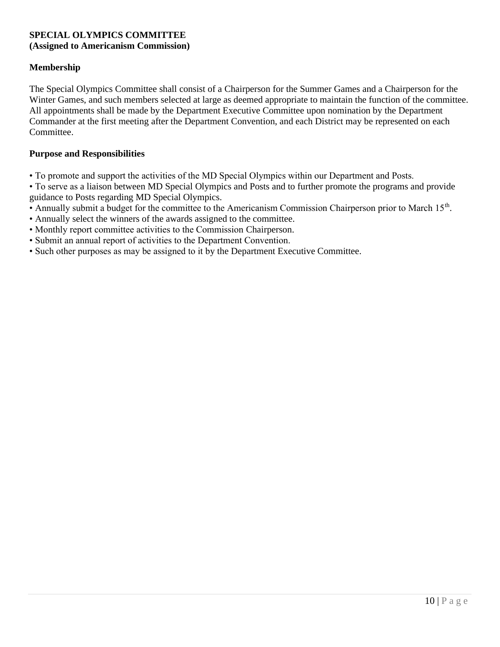### **SPECIAL OLYMPICS COMMITTEE (Assigned to Americanism Commission)**

### **Membership**

The Special Olympics Committee shall consist of a Chairperson for the Summer Games and a Chairperson for the Winter Games, and such members selected at large as deemed appropriate to maintain the function of the committee. All appointments shall be made by the Department Executive Committee upon nomination by the Department Commander at the first meeting after the Department Convention, and each District may be represented on each Committee.

#### **Purpose and Responsibilities**

- To promote and support the activities of the MD Special Olympics within our Department and Posts.
- To serve as a liaison between MD Special Olympics and Posts and to further promote the programs and provide guidance to Posts regarding MD Special Olympics.
- Annually submit a budget for the committee to the Americanism Commission Chairperson prior to March 15<sup>th</sup>.
- Annually select the winners of the awards assigned to the committee.
- Monthly report committee activities to the Commission Chairperson.
- Submit an annual report of activities to the Department Convention.
- Such other purposes as may be assigned to it by the Department Executive Committee.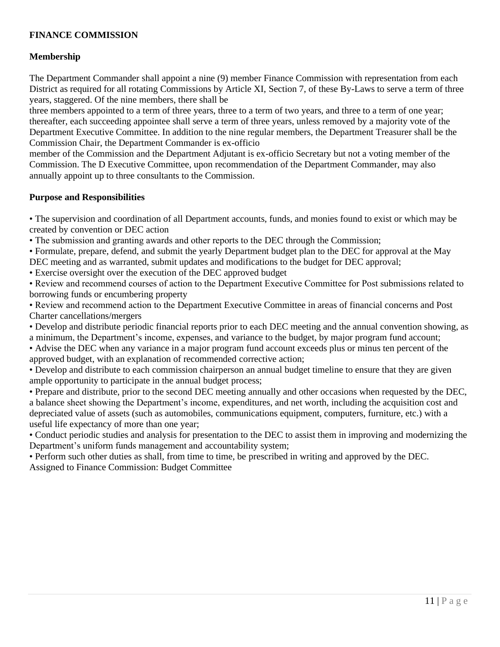# **FINANCE COMMISSION**

# **Membership**

The Department Commander shall appoint a nine (9) member Finance Commission with representation from each District as required for all rotating Commissions by Article XI, Section 7, of these By-Laws to serve a term of three years, staggered. Of the nine members, there shall be

three members appointed to a term of three years, three to a term of two years, and three to a term of one year; thereafter, each succeeding appointee shall serve a term of three years, unless removed by a majority vote of the Department Executive Committee. In addition to the nine regular members, the Department Treasurer shall be the Commission Chair, the Department Commander is ex-officio

member of the Commission and the Department Adjutant is ex-officio Secretary but not a voting member of the Commission. The D Executive Committee, upon recommendation of the Department Commander, may also annually appoint up to three consultants to the Commission.

### **Purpose and Responsibilities**

• The supervision and coordination of all Department accounts, funds, and monies found to exist or which may be created by convention or DEC action

• The submission and granting awards and other reports to the DEC through the Commission;

• Formulate, prepare, defend, and submit the yearly Department budget plan to the DEC for approval at the May DEC meeting and as warranted, submit updates and modifications to the budget for DEC approval;

• Exercise oversight over the execution of the DEC approved budget

• Review and recommend courses of action to the Department Executive Committee for Post submissions related to borrowing funds or encumbering property

• Review and recommend action to the Department Executive Committee in areas of financial concerns and Post Charter cancellations/mergers

• Develop and distribute periodic financial reports prior to each DEC meeting and the annual convention showing, as a minimum, the Department's income, expenses, and variance to the budget, by major program fund account;

• Advise the DEC when any variance in a major program fund account exceeds plus or minus ten percent of the approved budget, with an explanation of recommended corrective action;

• Develop and distribute to each commission chairperson an annual budget timeline to ensure that they are given ample opportunity to participate in the annual budget process;

• Prepare and distribute, prior to the second DEC meeting annually and other occasions when requested by the DEC, a balance sheet showing the Department's income, expenditures, and net worth, including the acquisition cost and depreciated value of assets (such as automobiles, communications equipment, computers, furniture, etc.) with a useful life expectancy of more than one year;

• Conduct periodic studies and analysis for presentation to the DEC to assist them in improving and modernizing the Department's uniform funds management and accountability system;

• Perform such other duties as shall, from time to time, be prescribed in writing and approved by the DEC. Assigned to Finance Commission: Budget Committee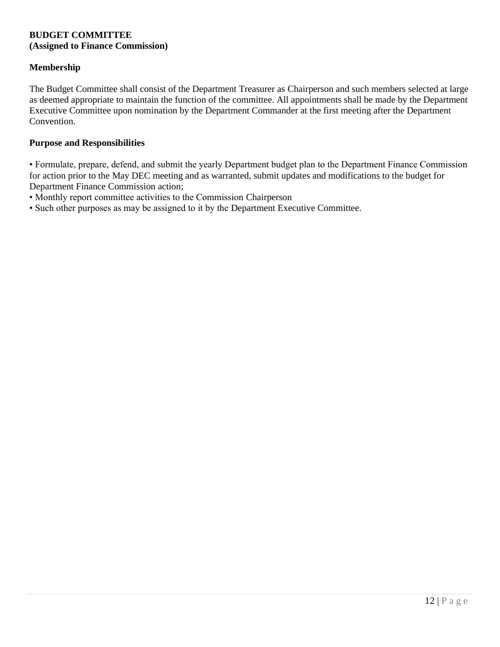### **BUDGET COMMITTEE (Assigned to Finance Commission)**

### **Membership**

The Budget Committee shall consist of the Department Treasurer as Chairperson and such members selected at large as deemed appropriate to maintain the function of the committee. All appointments shall be made by the Department Executive Committee upon nomination by the Department Commander at the first meeting after the Department Convention.

#### **Purpose and Responsibilities**

• Formulate, prepare, defend, and submit the yearly Department budget plan to the Department Finance Commission for action prior to the May DEC meeting and as warranted, submit updates and modifications to the budget for Department Finance Commission action;

- Monthly report committee activities to the Commission Chairperson
- Such other purposes as may be assigned to it by the Department Executive Committee.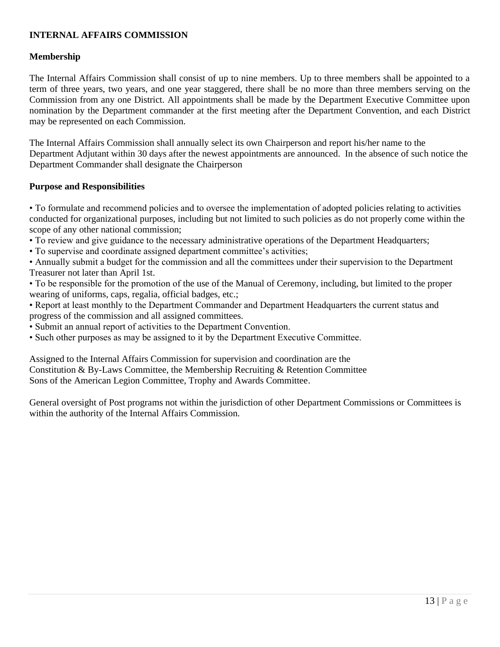# **INTERNAL AFFAIRS COMMISSION**

### **Membership**

The Internal Affairs Commission shall consist of up to nine members. Up to three members shall be appointed to a term of three years, two years, and one year staggered, there shall be no more than three members serving on the Commission from any one District. All appointments shall be made by the Department Executive Committee upon nomination by the Department commander at the first meeting after the Department Convention, and each District may be represented on each Commission.

The Internal Affairs Commission shall annually select its own Chairperson and report his/her name to the Department Adjutant within 30 days after the newest appointments are announced. In the absence of such notice the Department Commander shall designate the Chairperson

### **Purpose and Responsibilities**

• To formulate and recommend policies and to oversee the implementation of adopted policies relating to activities conducted for organizational purposes, including but not limited to such policies as do not properly come within the scope of any other national commission;

- To review and give guidance to the necessary administrative operations of the Department Headquarters;
- To supervise and coordinate assigned department committee's activities;

• Annually submit a budget for the commission and all the committees under their supervision to the Department Treasurer not later than April 1st.

- To be responsible for the promotion of the use of the Manual of Ceremony, including, but limited to the proper wearing of uniforms, caps, regalia, official badges, etc.;
- Report at least monthly to the Department Commander and Department Headquarters the current status and progress of the commission and all assigned committees.
- Submit an annual report of activities to the Department Convention.
- Such other purposes as may be assigned to it by the Department Executive Committee.

Assigned to the Internal Affairs Commission for supervision and coordination are the Constitution & By-Laws Committee, the Membership Recruiting & Retention Committee Sons of the American Legion Committee, Trophy and Awards Committee.

General oversight of Post programs not within the jurisdiction of other Department Commissions or Committees is within the authority of the Internal Affairs Commission.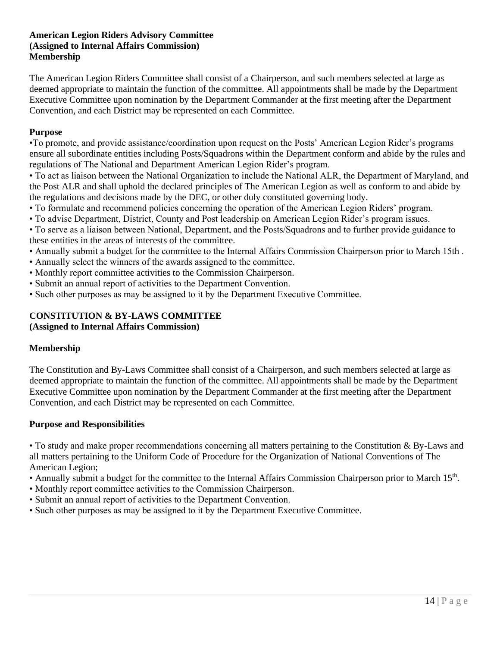### **American Legion Riders Advisory Committee (Assigned to Internal Affairs Commission) Membership**

The American Legion Riders Committee shall consist of a Chairperson, and such members selected at large as deemed appropriate to maintain the function of the committee. All appointments shall be made by the Department Executive Committee upon nomination by the Department Commander at the first meeting after the Department Convention, and each District may be represented on each Committee.

#### **Purpose**

•To promote, and provide assistance/coordination upon request on the Posts' American Legion Rider's programs ensure all subordinate entities including Posts/Squadrons within the Department conform and abide by the rules and regulations of The National and Department American Legion Rider's program.

• To act as liaison between the National Organization to include the National ALR, the Department of Maryland, and the Post ALR and shall uphold the declared principles of The American Legion as well as conform to and abide by the regulations and decisions made by the DEC, or other duly constituted governing body.

- To formulate and recommend policies concerning the operation of the American Legion Riders' program.
- To advise Department, District, County and Post leadership on American Legion Rider's program issues.

• To serve as a liaison between National, Department, and the Posts/Squadrons and to further provide guidance to these entities in the areas of interests of the committee.

- Annually submit a budget for the committee to the Internal Affairs Commission Chairperson prior to March 15th .
- Annually select the winners of the awards assigned to the committee.
- Monthly report committee activities to the Commission Chairperson.
- Submit an annual report of activities to the Department Convention.
- Such other purposes as may be assigned to it by the Department Executive Committee.

#### **CONSTITUTION & BY-LAWS COMMITTEE (Assigned to Internal Affairs Commission)**

### **Membership**

The Constitution and By-Laws Committee shall consist of a Chairperson, and such members selected at large as deemed appropriate to maintain the function of the committee. All appointments shall be made by the Department Executive Committee upon nomination by the Department Commander at the first meeting after the Department Convention, and each District may be represented on each Committee.

#### **Purpose and Responsibilities**

• To study and make proper recommendations concerning all matters pertaining to the Constitution & By-Laws and all matters pertaining to the Uniform Code of Procedure for the Organization of National Conventions of The American Legion;

- Annually submit a budget for the committee to the Internal Affairs Commission Chairperson prior to March 15<sup>th</sup>.
- Monthly report committee activities to the Commission Chairperson.
- Submit an annual report of activities to the Department Convention.
- Such other purposes as may be assigned to it by the Department Executive Committee.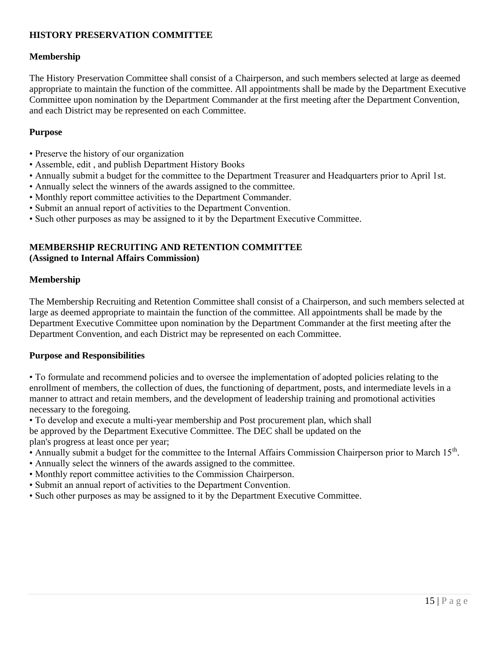# **HISTORY PRESERVATION COMMITTEE**

### **Membership**

The History Preservation Committee shall consist of a Chairperson, and such members selected at large as deemed appropriate to maintain the function of the committee. All appointments shall be made by the Department Executive Committee upon nomination by the Department Commander at the first meeting after the Department Convention, and each District may be represented on each Committee.

#### **Purpose**

- Preserve the history of our organization
- Assemble, edit , and publish Department History Books
- Annually submit a budget for the committee to the Department Treasurer and Headquarters prior to April 1st.
- Annually select the winners of the awards assigned to the committee.
- Monthly report committee activities to the Department Commander.
- Submit an annual report of activities to the Department Convention.
- Such other purposes as may be assigned to it by the Department Executive Committee.

### **MEMBERSHIP RECRUITING AND RETENTION COMMITTEE (Assigned to Internal Affairs Commission)**

#### **Membership**

The Membership Recruiting and Retention Committee shall consist of a Chairperson, and such members selected at large as deemed appropriate to maintain the function of the committee. All appointments shall be made by the Department Executive Committee upon nomination by the Department Commander at the first meeting after the Department Convention, and each District may be represented on each Committee.

#### **Purpose and Responsibilities**

• To formulate and recommend policies and to oversee the implementation of adopted policies relating to the enrollment of members, the collection of dues, the functioning of department, posts, and intermediate levels in a manner to attract and retain members, and the development of leadership training and promotional activities necessary to the foregoing.

• To develop and execute a multi-year membership and Post procurement plan, which shall be approved by the Department Executive Committee. The DEC shall be updated on the plan's progress at least once per year;

- Annually submit a budget for the committee to the Internal Affairs Commission Chairperson prior to March 15<sup>th</sup>.
- Annually select the winners of the awards assigned to the committee.
- Monthly report committee activities to the Commission Chairperson.
- Submit an annual report of activities to the Department Convention.
- Such other purposes as may be assigned to it by the Department Executive Committee.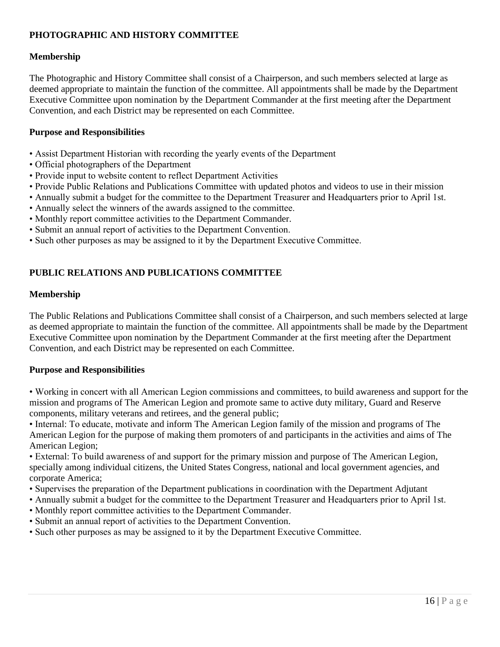# **PHOTOGRAPHIC AND HISTORY COMMITTEE**

### **Membership**

The Photographic and History Committee shall consist of a Chairperson, and such members selected at large as deemed appropriate to maintain the function of the committee. All appointments shall be made by the Department Executive Committee upon nomination by the Department Commander at the first meeting after the Department Convention, and each District may be represented on each Committee.

### **Purpose and Responsibilities**

- Assist Department Historian with recording the yearly events of the Department
- Official photographers of the Department
- Provide input to website content to reflect Department Activities
- Provide Public Relations and Publications Committee with updated photos and videos to use in their mission
- Annually submit a budget for the committee to the Department Treasurer and Headquarters prior to April 1st.
- Annually select the winners of the awards assigned to the committee.
- Monthly report committee activities to the Department Commander.
- Submit an annual report of activities to the Department Convention.
- Such other purposes as may be assigned to it by the Department Executive Committee.

# **PUBLIC RELATIONS AND PUBLICATIONS COMMITTEE**

#### **Membership**

The Public Relations and Publications Committee shall consist of a Chairperson, and such members selected at large as deemed appropriate to maintain the function of the committee. All appointments shall be made by the Department Executive Committee upon nomination by the Department Commander at the first meeting after the Department Convention, and each District may be represented on each Committee.

#### **Purpose and Responsibilities**

• Working in concert with all American Legion commissions and committees, to build awareness and support for the mission and programs of The American Legion and promote same to active duty military, Guard and Reserve components, military veterans and retirees, and the general public;

• Internal: To educate, motivate and inform The American Legion family of the mission and programs of The American Legion for the purpose of making them promoters of and participants in the activities and aims of The American Legion;

• External: To build awareness of and support for the primary mission and purpose of The American Legion, specially among individual citizens, the United States Congress, national and local government agencies, and corporate America;

- Supervises the preparation of the Department publications in coordination with the Department Adjutant
- Annually submit a budget for the committee to the Department Treasurer and Headquarters prior to April 1st.
- Monthly report committee activities to the Department Commander.
- Submit an annual report of activities to the Department Convention.
- Such other purposes as may be assigned to it by the Department Executive Committee.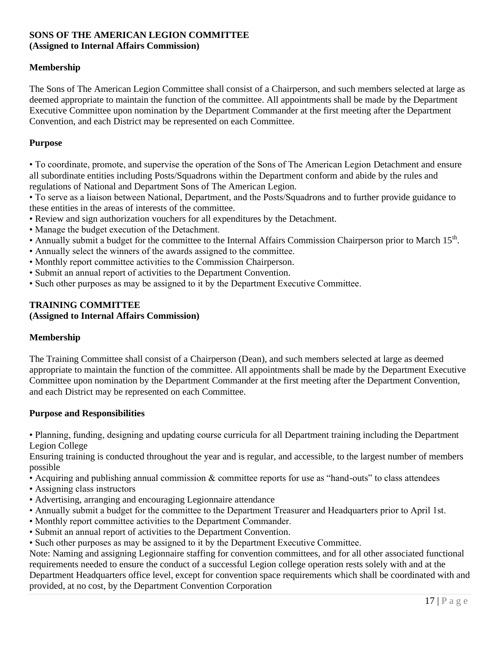#### **SONS OF THE AMERICAN LEGION COMMITTEE (Assigned to Internal Affairs Commission)**

### **Membership**

The Sons of The American Legion Committee shall consist of a Chairperson, and such members selected at large as deemed appropriate to maintain the function of the committee. All appointments shall be made by the Department Executive Committee upon nomination by the Department Commander at the first meeting after the Department Convention, and each District may be represented on each Committee.

#### **Purpose**

• To coordinate, promote, and supervise the operation of the Sons of The American Legion Detachment and ensure all subordinate entities including Posts/Squadrons within the Department conform and abide by the rules and regulations of National and Department Sons of The American Legion.

• To serve as a liaison between National, Department, and the Posts/Squadrons and to further provide guidance to these entities in the areas of interests of the committee.

- Review and sign authorization vouchers for all expenditures by the Detachment.
- Manage the budget execution of the Detachment.
- Annually submit a budget for the committee to the Internal Affairs Commission Chairperson prior to March 15<sup>th</sup>.
- Annually select the winners of the awards assigned to the committee.
- Monthly report committee activities to the Commission Chairperson.
- Submit an annual report of activities to the Department Convention.
- Such other purposes as may be assigned to it by the Department Executive Committee.

#### **TRAINING COMMITTEE (Assigned to Internal Affairs Commission)**

#### **Membership**

The Training Committee shall consist of a Chairperson (Dean), and such members selected at large as deemed appropriate to maintain the function of the committee. All appointments shall be made by the Department Executive Committee upon nomination by the Department Commander at the first meeting after the Department Convention, and each District may be represented on each Committee.

#### **Purpose and Responsibilities**

• Planning, funding, designing and updating course curricula for all Department training including the Department Legion College

Ensuring training is conducted throughout the year and is regular, and accessible, to the largest number of members possible

- Acquiring and publishing annual commission & committee reports for use as "hand-outs" to class attendees
- Assigning class instructors
- Advertising, arranging and encouraging Legionnaire attendance
- Annually submit a budget for the committee to the Department Treasurer and Headquarters prior to April 1st.
- Monthly report committee activities to the Department Commander.
- Submit an annual report of activities to the Department Convention.
- Such other purposes as may be assigned to it by the Department Executive Committee.

Note: Naming and assigning Legionnaire staffing for convention committees, and for all other associated functional requirements needed to ensure the conduct of a successful Legion college operation rests solely with and at the Department Headquarters office level, except for convention space requirements which shall be coordinated with and provided, at no cost, by the Department Convention Corporation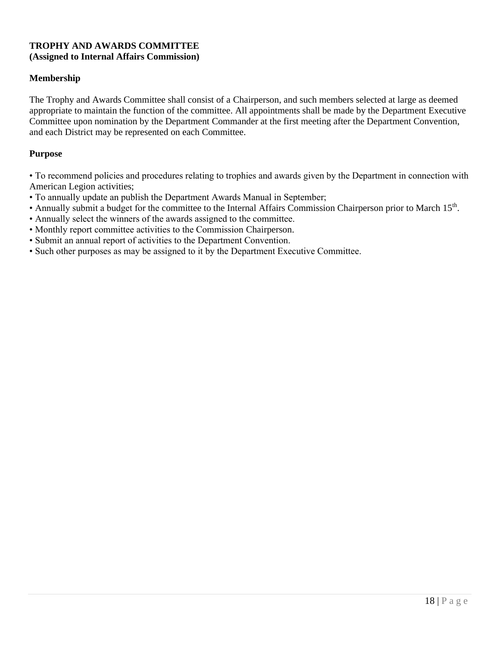### **TROPHY AND AWARDS COMMITTEE (Assigned to Internal Affairs Commission)**

### **Membership**

The Trophy and Awards Committee shall consist of a Chairperson, and such members selected at large as deemed appropriate to maintain the function of the committee. All appointments shall be made by the Department Executive Committee upon nomination by the Department Commander at the first meeting after the Department Convention, and each District may be represented on each Committee.

#### **Purpose**

• To recommend policies and procedures relating to trophies and awards given by the Department in connection with American Legion activities;

- To annually update an publish the Department Awards Manual in September;
- Annually submit a budget for the committee to the Internal Affairs Commission Chairperson prior to March 15<sup>th</sup>.
- Annually select the winners of the awards assigned to the committee.
- Monthly report committee activities to the Commission Chairperson.
- Submit an annual report of activities to the Department Convention.
- Such other purposes as may be assigned to it by the Department Executive Committee.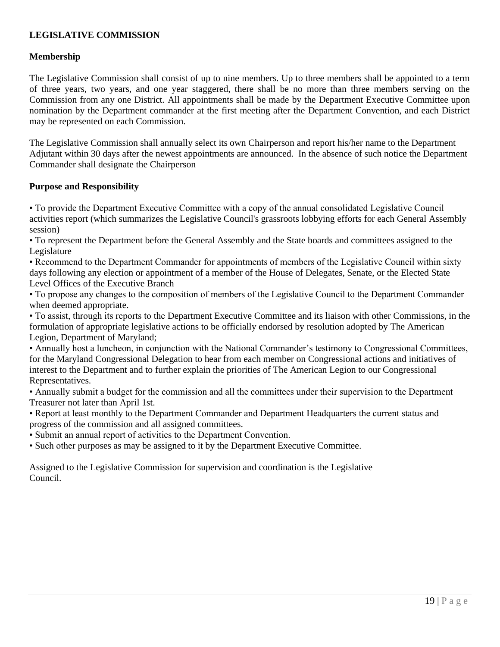# **LEGISLATIVE COMMISSION**

### **Membership**

The Legislative Commission shall consist of up to nine members. Up to three members shall be appointed to a term of three years, two years, and one year staggered, there shall be no more than three members serving on the Commission from any one District. All appointments shall be made by the Department Executive Committee upon nomination by the Department commander at the first meeting after the Department Convention, and each District may be represented on each Commission.

The Legislative Commission shall annually select its own Chairperson and report his/her name to the Department Adjutant within 30 days after the newest appointments are announced. In the absence of such notice the Department Commander shall designate the Chairperson

### **Purpose and Responsibility**

• To provide the Department Executive Committee with a copy of the annual consolidated Legislative Council activities report (which summarizes the Legislative Council's grassroots lobbying efforts for each General Assembly session)

• To represent the Department before the General Assembly and the State boards and committees assigned to the Legislature

• Recommend to the Department Commander for appointments of members of the Legislative Council within sixty days following any election or appointment of a member of the House of Delegates, Senate, or the Elected State Level Offices of the Executive Branch

• To propose any changes to the composition of members of the Legislative Council to the Department Commander when deemed appropriate.

• To assist, through its reports to the Department Executive Committee and its liaison with other Commissions, in the formulation of appropriate legislative actions to be officially endorsed by resolution adopted by The American Legion, Department of Maryland;

• Annually host a luncheon, in conjunction with the National Commander's testimony to Congressional Committees, for the Maryland Congressional Delegation to hear from each member on Congressional actions and initiatives of interest to the Department and to further explain the priorities of The American Legion to our Congressional Representatives.

• Annually submit a budget for the commission and all the committees under their supervision to the Department Treasurer not later than April 1st.

• Report at least monthly to the Department Commander and Department Headquarters the current status and progress of the commission and all assigned committees.

• Submit an annual report of activities to the Department Convention.

• Such other purposes as may be assigned to it by the Department Executive Committee.

Assigned to the Legislative Commission for supervision and coordination is the Legislative Council.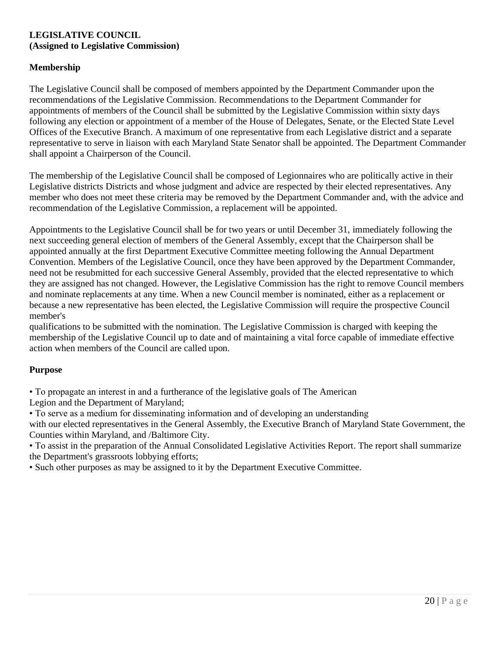### **LEGISLATIVE COUNCIL (Assigned to Legislative Commission)**

# **Membership**

The Legislative Council shall be composed of members appointed by the Department Commander upon the recommendations of the Legislative Commission. Recommendations to the Department Commander for appointments of members of the Council shall be submitted by the Legislative Commission within sixty days following any election or appointment of a member of the House of Delegates, Senate, or the Elected State Level Offices of the Executive Branch. A maximum of one representative from each Legislative district and a separate representative to serve in liaison with each Maryland State Senator shall be appointed. The Department Commander shall appoint a Chairperson of the Council.

The membership of the Legislative Council shall be composed of Legionnaires who are politically active in their Legislative districts Districts and whose judgment and advice are respected by their elected representatives. Any member who does not meet these criteria may be removed by the Department Commander and, with the advice and recommendation of the Legislative Commission, a replacement will be appointed.

Appointments to the Legislative Council shall be for two years or until December 31, immediately following the next succeeding general election of members of the General Assembly, except that the Chairperson shall be appointed annually at the first Department Executive Committee meeting following the Annual Department Convention. Members of the Legislative Council, once they have been approved by the Department Commander, need not be resubmitted for each successive General Assembly, provided that the elected representative to which they are assigned has not changed. However, the Legislative Commission has the right to remove Council members and nominate replacements at any time. When a new Council member is nominated, either as a replacement or because a new representative has been elected, the Legislative Commission will require the prospective Council member's

qualifications to be submitted with the nomination. The Legislative Commission is charged with keeping the membership of the Legislative Council up to date and of maintaining a vital force capable of immediate effective action when members of the Council are called upon.

# **Purpose**

• To propagate an interest in and a furtherance of the legislative goals of The American

Legion and the Department of Maryland;

• To serve as a medium for disseminating information and of developing an understanding

with our elected representatives in the General Assembly, the Executive Branch of Maryland State Government, the Counties within Maryland, and /Baltimore City.

• To assist in the preparation of the Annual Consolidated Legislative Activities Report. The report shall summarize the Department's grassroots lobbying efforts;

• Such other purposes as may be assigned to it by the Department Executive Committee.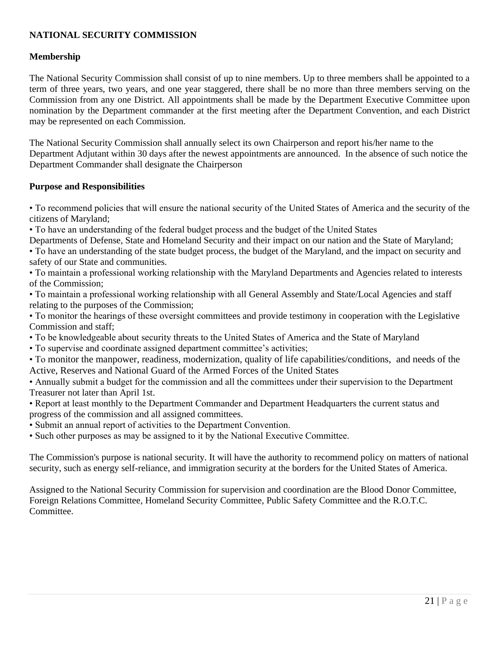# **NATIONAL SECURITY COMMISSION**

### **Membership**

The National Security Commission shall consist of up to nine members. Up to three members shall be appointed to a term of three years, two years, and one year staggered, there shall be no more than three members serving on the Commission from any one District. All appointments shall be made by the Department Executive Committee upon nomination by the Department commander at the first meeting after the Department Convention, and each District may be represented on each Commission.

The National Security Commission shall annually select its own Chairperson and report his/her name to the Department Adjutant within 30 days after the newest appointments are announced. In the absence of such notice the Department Commander shall designate the Chairperson

### **Purpose and Responsibilities**

• To recommend policies that will ensure the national security of the United States of America and the security of the citizens of Maryland;

• To have an understanding of the federal budget process and the budget of the United States

Departments of Defense, State and Homeland Security and their impact on our nation and the State of Maryland;

• To have an understanding of the state budget process, the budget of the Maryland, and the impact on security and safety of our State and communities.

• To maintain a professional working relationship with the Maryland Departments and Agencies related to interests of the Commission;

• To maintain a professional working relationship with all General Assembly and State/Local Agencies and staff relating to the purposes of the Commission;

• To monitor the hearings of these oversight committees and provide testimony in cooperation with the Legislative Commission and staff;

• To be knowledgeable about security threats to the United States of America and the State of Maryland

• To supervise and coordinate assigned department committee's activities;

• To monitor the manpower, readiness, modernization, quality of life capabilities/conditions, and needs of the Active, Reserves and National Guard of the Armed Forces of the United States

• Annually submit a budget for the commission and all the committees under their supervision to the Department Treasurer not later than April 1st.

• Report at least monthly to the Department Commander and Department Headquarters the current status and progress of the commission and all assigned committees.

• Submit an annual report of activities to the Department Convention.

• Such other purposes as may be assigned to it by the National Executive Committee.

The Commission's purpose is national security. It will have the authority to recommend policy on matters of national security, such as energy self-reliance, and immigration security at the borders for the United States of America.

Assigned to the National Security Commission for supervision and coordination are the Blood Donor Committee, Foreign Relations Committee, Homeland Security Committee, Public Safety Committee and the R.O.T.C. Committee.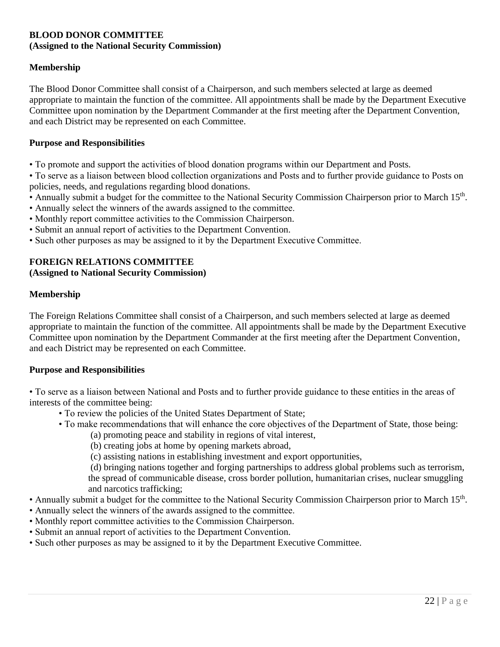### **BLOOD DONOR COMMITTEE (Assigned to the National Security Commission)**

# **Membership**

The Blood Donor Committee shall consist of a Chairperson, and such members selected at large as deemed appropriate to maintain the function of the committee. All appointments shall be made by the Department Executive Committee upon nomination by the Department Commander at the first meeting after the Department Convention, and each District may be represented on each Committee.

#### **Purpose and Responsibilities**

• To promote and support the activities of blood donation programs within our Department and Posts.

• To serve as a liaison between blood collection organizations and Posts and to further provide guidance to Posts on policies, needs, and regulations regarding blood donations.

- Annually submit a budget for the committee to the National Security Commission Chairperson prior to March 15<sup>th</sup>.
- Annually select the winners of the awards assigned to the committee.
- Monthly report committee activities to the Commission Chairperson.
- Submit an annual report of activities to the Department Convention.
- Such other purposes as may be assigned to it by the Department Executive Committee.

### **FOREIGN RELATIONS COMMITTEE**

### **(Assigned to National Security Commission)**

#### **Membership**

The Foreign Relations Committee shall consist of a Chairperson, and such members selected at large as deemed appropriate to maintain the function of the committee. All appointments shall be made by the Department Executive Committee upon nomination by the Department Commander at the first meeting after the Department Convention, and each District may be represented on each Committee.

#### **Purpose and Responsibilities**

• To serve as a liaison between National and Posts and to further provide guidance to these entities in the areas of interests of the committee being:

- To review the policies of the United States Department of State;
- To make recommendations that will enhance the core objectives of the Department of State, those being: (a) promoting peace and stability in regions of vital interest,
	- (b) creating jobs at home by opening markets abroad,
	- (c) assisting nations in establishing investment and export opportunities,

(d) bringing nations together and forging partnerships to address global problems such as terrorism, the spread of communicable disease, cross border pollution, humanitarian crises, nuclear smuggling and narcotics trafficking;

- Annually submit a budget for the committee to the National Security Commission Chairperson prior to March 15<sup>th</sup>.
- Annually select the winners of the awards assigned to the committee.
- Monthly report committee activities to the Commission Chairperson.
- Submit an annual report of activities to the Department Convention.
- Such other purposes as may be assigned to it by the Department Executive Committee.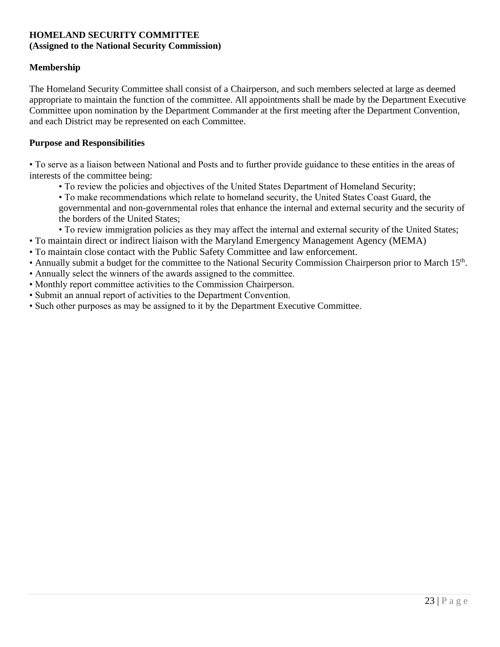# **HOMELAND SECURITY COMMITTEE (Assigned to the National Security Commission)**

# **Membership**

The Homeland Security Committee shall consist of a Chairperson, and such members selected at large as deemed appropriate to maintain the function of the committee. All appointments shall be made by the Department Executive Committee upon nomination by the Department Commander at the first meeting after the Department Convention, and each District may be represented on each Committee.

### **Purpose and Responsibilities**

• To serve as a liaison between National and Posts and to further provide guidance to these entities in the areas of interests of the committee being:

- To review the policies and objectives of the United States Department of Homeland Security;
- To make recommendations which relate to homeland security, the United States Coast Guard, the governmental and non-governmental roles that enhance the internal and external security and the security of the borders of the United States;
- To review immigration policies as they may affect the internal and external security of the United States;
- To maintain direct or indirect liaison with the Maryland Emergency Management Agency (MEMA)
- To maintain close contact with the Public Safety Committee and law enforcement.
- Annually submit a budget for the committee to the National Security Commission Chairperson prior to March 15<sup>th</sup>.
- Annually select the winners of the awards assigned to the committee.
- Monthly report committee activities to the Commission Chairperson.
- Submit an annual report of activities to the Department Convention.
- Such other purposes as may be assigned to it by the Department Executive Committee.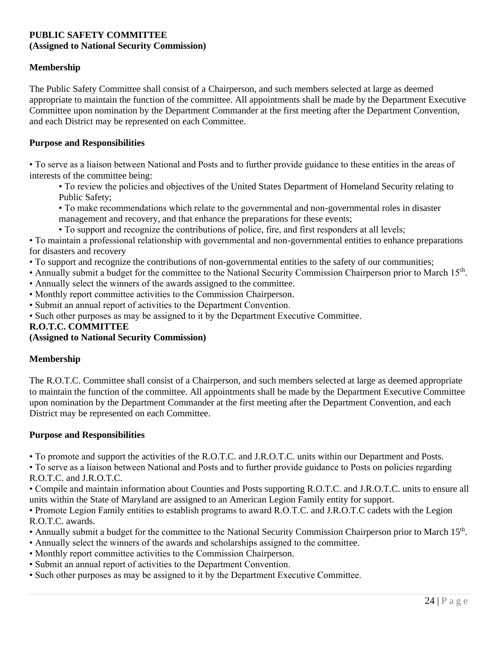### **PUBLIC SAFETY COMMITTEE (Assigned to National Security Commission)**

### **Membership**

The Public Safety Committee shall consist of a Chairperson, and such members selected at large as deemed appropriate to maintain the function of the committee. All appointments shall be made by the Department Executive Committee upon nomination by the Department Commander at the first meeting after the Department Convention, and each District may be represented on each Committee.

#### **Purpose and Responsibilities**

• To serve as a liaison between National and Posts and to further provide guidance to these entities in the areas of interests of the committee being:

• To review the policies and objectives of the United States Department of Homeland Security relating to Public Safety;

• To make recommendations which relate to the governmental and non-governmental roles in disaster management and recovery, and that enhance the preparations for these events;

• To support and recognize the contributions of police, fire, and first responders at all levels;

• To maintain a professional relationship with governmental and non-governmental entities to enhance preparations for disasters and recovery

• To support and recognize the contributions of non-governmental entities to the safety of our communities;

• Annually submit a budget for the committee to the National Security Commission Chairperson prior to March 15<sup>th</sup>.

• Annually select the winners of the awards assigned to the committee.

• Monthly report committee activities to the Commission Chairperson.

• Submit an annual report of activities to the Department Convention.

• Such other purposes as may be assigned to it by the Department Executive Committee.

### **R.O.T.C. COMMITTEE**

**(Assigned to National Security Commission)**

### **Membership**

The R.O.T.C. Committee shall consist of a Chairperson, and such members selected at large as deemed appropriate to maintain the function of the committee. All appointments shall be made by the Department Executive Committee upon nomination by the Department Commander at the first meeting after the Department Convention, and each District may be represented on each Committee.

### **Purpose and Responsibilities**

• To promote and support the activities of the R.O.T.C. and J.R.O.T.C. units within our Department and Posts.

• To serve as a liaison between National and Posts and to further provide guidance to Posts on policies regarding R.O.T.C. and J.R.O.T.C.

• Compile and maintain information about Counties and Posts supporting R.O.T.C. and J.R.O.T.C. units to ensure all units within the State of Maryland are assigned to an American Legion Family entity for support.

• Promote Legion Family entities to establish programs to award R.O.T.C. and J.R.O.T.C cadets with the Legion R.O.T.C. awards.

• Annually submit a budget for the committee to the National Security Commission Chairperson prior to March 15<sup>th</sup>.

- Annually select the winners of the awards and scholarships assigned to the committee.
- Monthly report committee activities to the Commission Chairperson.
- Submit an annual report of activities to the Department Convention.
- Such other purposes as may be assigned to it by the Department Executive Committee.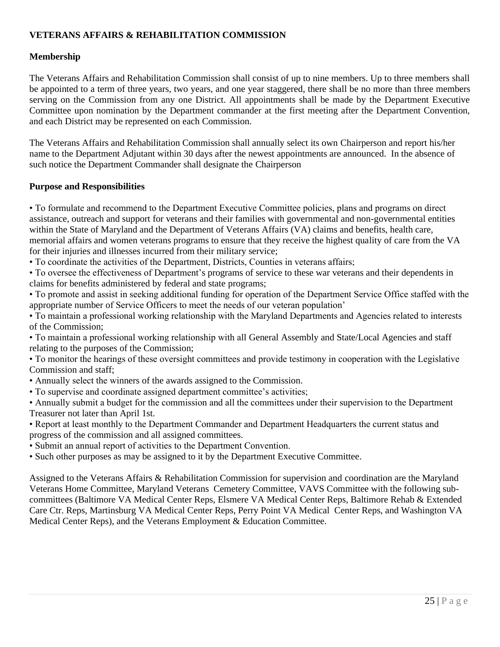# **VETERANS AFFAIRS & REHABILITATION COMMISSION**

### **Membership**

The Veterans Affairs and Rehabilitation Commission shall consist of up to nine members. Up to three members shall be appointed to a term of three years, two years, and one year staggered, there shall be no more than three members serving on the Commission from any one District. All appointments shall be made by the Department Executive Committee upon nomination by the Department commander at the first meeting after the Department Convention, and each District may be represented on each Commission.

The Veterans Affairs and Rehabilitation Commission shall annually select its own Chairperson and report his/her name to the Department Adjutant within 30 days after the newest appointments are announced. In the absence of such notice the Department Commander shall designate the Chairperson

### **Purpose and Responsibilities**

• To formulate and recommend to the Department Executive Committee policies, plans and programs on direct assistance, outreach and support for veterans and their families with governmental and non-governmental entities within the State of Maryland and the Department of Veterans Affairs (VA) claims and benefits, health care, memorial affairs and women veterans programs to ensure that they receive the highest quality of care from the VA for their injuries and illnesses incurred from their military service;

• To coordinate the activities of the Department, Districts, Counties in veterans affairs;

• To oversee the effectiveness of Department's programs of service to these war veterans and their dependents in claims for benefits administered by federal and state programs;

• To promote and assist in seeking additional funding for operation of the Department Service Office staffed with the appropriate number of Service Officers to meet the needs of our veteran population'

- To maintain a professional working relationship with the Maryland Departments and Agencies related to interests of the Commission;
- To maintain a professional working relationship with all General Assembly and State/Local Agencies and staff relating to the purposes of the Commission;

• To monitor the hearings of these oversight committees and provide testimony in cooperation with the Legislative Commission and staff;

- Annually select the winners of the awards assigned to the Commission.
- To supervise and coordinate assigned department committee's activities;

• Annually submit a budget for the commission and all the committees under their supervision to the Department Treasurer not later than April 1st.

- Report at least monthly to the Department Commander and Department Headquarters the current status and progress of the commission and all assigned committees.
- Submit an annual report of activities to the Department Convention.
- Such other purposes as may be assigned to it by the Department Executive Committee.

Assigned to the Veterans Affairs & Rehabilitation Commission for supervision and coordination are the Maryland Veterans Home Committee, Maryland Veterans Cemetery Committee, VAVS Committee with the following subcommittees (Baltimore VA Medical Center Reps, Elsmere VA Medical Center Reps, Baltimore Rehab & Extended Care Ctr. Reps, Martinsburg VA Medical Center Reps, Perry Point VA Medical Center Reps, and Washington VA Medical Center Reps), and the Veterans Employment & Education Committee.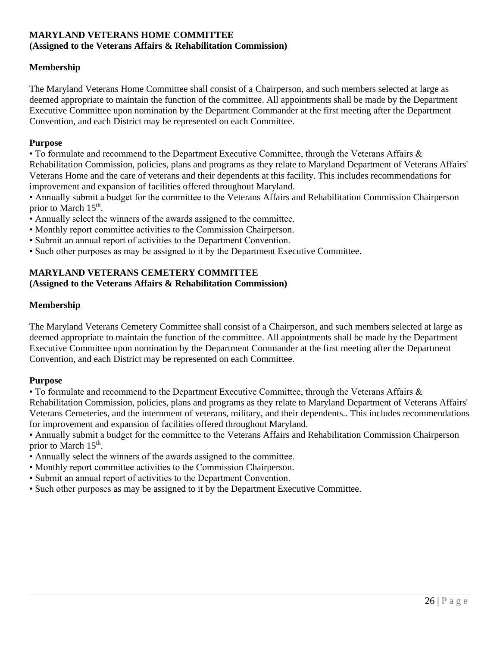# **MARYLAND VETERANS HOME COMMITTEE (Assigned to the Veterans Affairs & Rehabilitation Commission)**

# **Membership**

The Maryland Veterans Home Committee shall consist of a Chairperson, and such members selected at large as deemed appropriate to maintain the function of the committee. All appointments shall be made by the Department Executive Committee upon nomination by the Department Commander at the first meeting after the Department Convention, and each District may be represented on each Committee.

#### **Purpose**

• To formulate and recommend to the Department Executive Committee, through the Veterans Affairs & Rehabilitation Commission, policies, plans and programs as they relate to Maryland Department of Veterans Affairs' Veterans Home and the care of veterans and their dependents at this facility. This includes recommendations for improvement and expansion of facilities offered throughout Maryland.

• Annually submit a budget for the committee to the Veterans Affairs and Rehabilitation Commission Chairperson prior to March 15<sup>th</sup>.

- Annually select the winners of the awards assigned to the committee.
- Monthly report committee activities to the Commission Chairperson.
- Submit an annual report of activities to the Department Convention.
- Such other purposes as may be assigned to it by the Department Executive Committee.

# **MARYLAND VETERANS CEMETERY COMMITTEE (Assigned to the Veterans Affairs & Rehabilitation Commission)**

### **Membership**

The Maryland Veterans Cemetery Committee shall consist of a Chairperson, and such members selected at large as deemed appropriate to maintain the function of the committee. All appointments shall be made by the Department Executive Committee upon nomination by the Department Commander at the first meeting after the Department Convention, and each District may be represented on each Committee.

### **Purpose**

• To formulate and recommend to the Department Executive Committee, through the Veterans Affairs & Rehabilitation Commission, policies, plans and programs as they relate to Maryland Department of Veterans Affairs' Veterans Cemeteries, and the internment of veterans, military, and their dependents.. This includes recommendations for improvement and expansion of facilities offered throughout Maryland.

• Annually submit a budget for the committee to the Veterans Affairs and Rehabilitation Commission Chairperson prior to March 15<sup>th</sup>.

- Annually select the winners of the awards assigned to the committee.
- Monthly report committee activities to the Commission Chairperson.
- Submit an annual report of activities to the Department Convention.
- Such other purposes as may be assigned to it by the Department Executive Committee.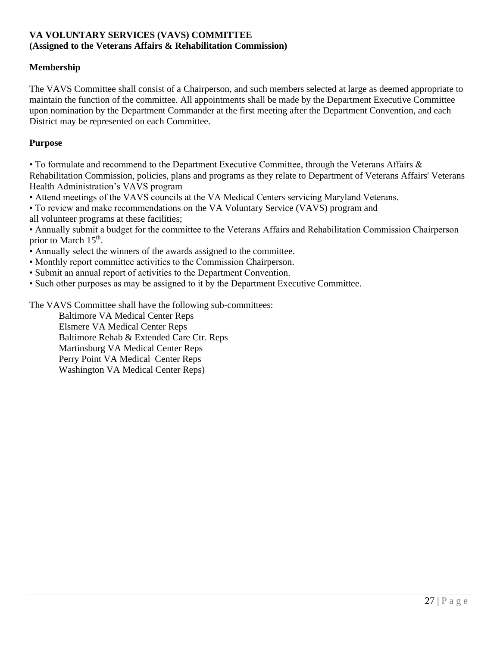# **VA VOLUNTARY SERVICES (VAVS) COMMITTEE (Assigned to the Veterans Affairs & Rehabilitation Commission)**

# **Membership**

The VAVS Committee shall consist of a Chairperson, and such members selected at large as deemed appropriate to maintain the function of the committee. All appointments shall be made by the Department Executive Committee upon nomination by the Department Commander at the first meeting after the Department Convention, and each District may be represented on each Committee.

### **Purpose**

• To formulate and recommend to the Department Executive Committee, through the Veterans Affairs & Rehabilitation Commission, policies, plans and programs as they relate to Department of Veterans Affairs' Veterans Health Administration's VAVS program

• Attend meetings of the VAVS councils at the VA Medical Centers servicing Maryland Veterans.

• To review and make recommendations on the VA Voluntary Service (VAVS) program and all volunteer programs at these facilities;

• Annually submit a budget for the committee to the Veterans Affairs and Rehabilitation Commission Chairperson prior to March 15<sup>th</sup>.

• Annually select the winners of the awards assigned to the committee.

- Monthly report committee activities to the Commission Chairperson.
- Submit an annual report of activities to the Department Convention.

• Such other purposes as may be assigned to it by the Department Executive Committee.

The VAVS Committee shall have the following sub-committees:

Baltimore VA Medical Center Reps Elsmere VA Medical Center Reps Baltimore Rehab & Extended Care Ctr. Reps Martinsburg VA Medical Center Reps Perry Point VA Medical Center Reps Washington VA Medical Center Reps)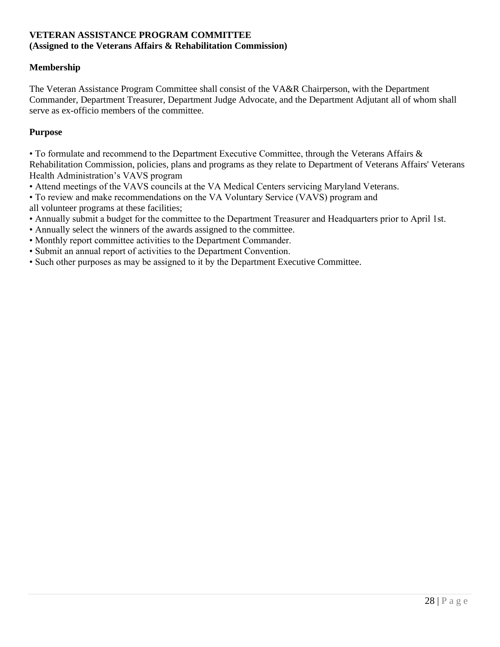### **VETERAN ASSISTANCE PROGRAM COMMITTEE (Assigned to the Veterans Affairs & Rehabilitation Commission)**

### **Membership**

The Veteran Assistance Program Committee shall consist of the VA&R Chairperson, with the Department Commander, Department Treasurer, Department Judge Advocate, and the Department Adjutant all of whom shall serve as ex-officio members of the committee.

### **Purpose**

• To formulate and recommend to the Department Executive Committee, through the Veterans Affairs & Rehabilitation Commission, policies, plans and programs as they relate to Department of Veterans Affairs' Veterans Health Administration's VAVS program

- Attend meetings of the VAVS councils at the VA Medical Centers servicing Maryland Veterans.
- To review and make recommendations on the VA Voluntary Service (VAVS) program and all volunteer programs at these facilities;
- Annually submit a budget for the committee to the Department Treasurer and Headquarters prior to April 1st.
- Annually select the winners of the awards assigned to the committee.
- Monthly report committee activities to the Department Commander.
- Submit an annual report of activities to the Department Convention.
- Such other purposes as may be assigned to it by the Department Executive Committee.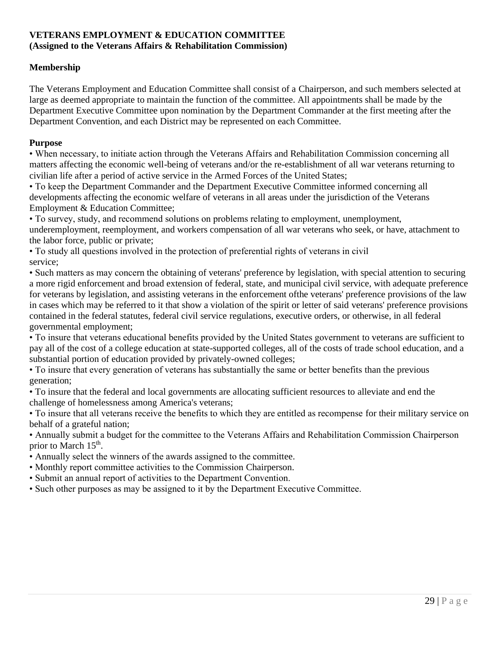# **VETERANS EMPLOYMENT & EDUCATION COMMITTEE (Assigned to the Veterans Affairs & Rehabilitation Commission)**

# **Membership**

The Veterans Employment and Education Committee shall consist of a Chairperson, and such members selected at large as deemed appropriate to maintain the function of the committee. All appointments shall be made by the Department Executive Committee upon nomination by the Department Commander at the first meeting after the Department Convention, and each District may be represented on each Committee.

### **Purpose**

• When necessary, to initiate action through the Veterans Affairs and Rehabilitation Commission concerning all matters affecting the economic well-being of veterans and/or the re-establishment of all war veterans returning to civilian life after a period of active service in the Armed Forces of the United States;

• To keep the Department Commander and the Department Executive Committee informed concerning all developments affecting the economic welfare of veterans in all areas under the jurisdiction of the Veterans Employment & Education Committee;

• To survey, study, and recommend solutions on problems relating to employment, unemployment, underemployment, reemployment, and workers compensation of all war veterans who seek, or have, attachment to the labor force, public or private;

• To study all questions involved in the protection of preferential rights of veterans in civil service;

• Such matters as may concern the obtaining of veterans' preference by legislation, with special attention to securing a more rigid enforcement and broad extension of federal, state, and municipal civil service, with adequate preference for veterans by legislation, and assisting veterans in the enforcement ofthe veterans' preference provisions of the law in cases which may be referred to it that show a violation of the spirit or letter of said veterans' preference provisions contained in the federal statutes, federal civil service regulations, executive orders, or otherwise, in all federal governmental employment;

• To insure that veterans educational benefits provided by the United States government to veterans are sufficient to pay all of the cost of a college education at state-supported colleges, all of the costs of trade school education, and a substantial portion of education provided by privately-owned colleges;

• To insure that every generation of veterans has substantially the same or better benefits than the previous generation;

• To insure that the federal and local governments are allocating sufficient resources to alleviate and end the challenge of homelessness among America's veterans;

• To insure that all veterans receive the benefits to which they are entitled as recompense for their military service on behalf of a grateful nation;

• Annually submit a budget for the committee to the Veterans Affairs and Rehabilitation Commission Chairperson prior to March 15<sup>th</sup>.

- Annually select the winners of the awards assigned to the committee.
- Monthly report committee activities to the Commission Chairperson.
- Submit an annual report of activities to the Department Convention.
- Such other purposes as may be assigned to it by the Department Executive Committee.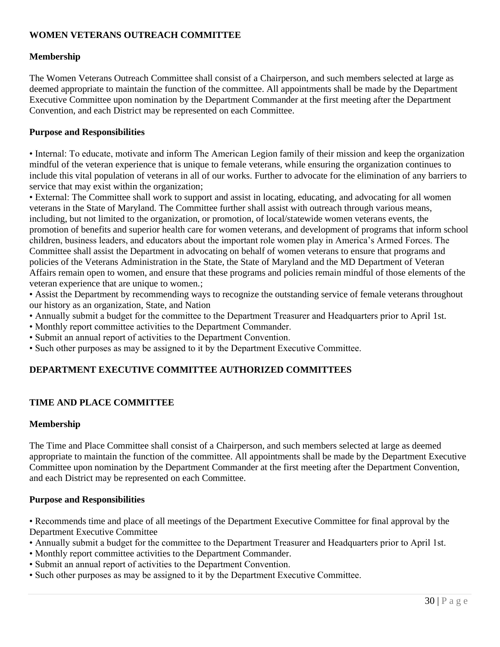# **WOMEN VETERANS OUTREACH COMMITTEE**

### **Membership**

The Women Veterans Outreach Committee shall consist of a Chairperson, and such members selected at large as deemed appropriate to maintain the function of the committee. All appointments shall be made by the Department Executive Committee upon nomination by the Department Commander at the first meeting after the Department Convention, and each District may be represented on each Committee.

### **Purpose and Responsibilities**

• Internal: To educate, motivate and inform The American Legion family of their mission and keep the organization mindful of the veteran experience that is unique to female veterans, while ensuring the organization continues to include this vital population of veterans in all of our works. Further to advocate for the elimination of any barriers to service that may exist within the organization;

• External: The Committee shall work to support and assist in locating, educating, and advocating for all women veterans in the State of Maryland. The Committee further shall assist with outreach through various means, including, but not limited to the organization, or promotion, of local/statewide women veterans events, the promotion of benefits and superior health care for women veterans, and development of programs that inform school children, business leaders, and educators about the important role women play in America's Armed Forces. The Committee shall assist the Department in advocating on behalf of women veterans to ensure that programs and policies of the Veterans Administration in the State, the State of Maryland and the MD Department of Veteran Affairs remain open to women, and ensure that these programs and policies remain mindful of those elements of the veteran experience that are unique to women.;

• Assist the Department by recommending ways to recognize the outstanding service of female veterans throughout our history as an organization, State, and Nation

- Annually submit a budget for the committee to the Department Treasurer and Headquarters prior to April 1st.
- Monthly report committee activities to the Department Commander.
- Submit an annual report of activities to the Department Convention.
- Such other purposes as may be assigned to it by the Department Executive Committee.

# **DEPARTMENT EXECUTIVE COMMITTEE AUTHORIZED COMMITTEES**

### **TIME AND PLACE COMMITTEE**

### **Membership**

The Time and Place Committee shall consist of a Chairperson, and such members selected at large as deemed appropriate to maintain the function of the committee. All appointments shall be made by the Department Executive Committee upon nomination by the Department Commander at the first meeting after the Department Convention, and each District may be represented on each Committee.

#### **Purpose and Responsibilities**

• Recommends time and place of all meetings of the Department Executive Committee for final approval by the Department Executive Committee

- Annually submit a budget for the committee to the Department Treasurer and Headquarters prior to April 1st.
- Monthly report committee activities to the Department Commander.
- Submit an annual report of activities to the Department Convention.
- Such other purposes as may be assigned to it by the Department Executive Committee.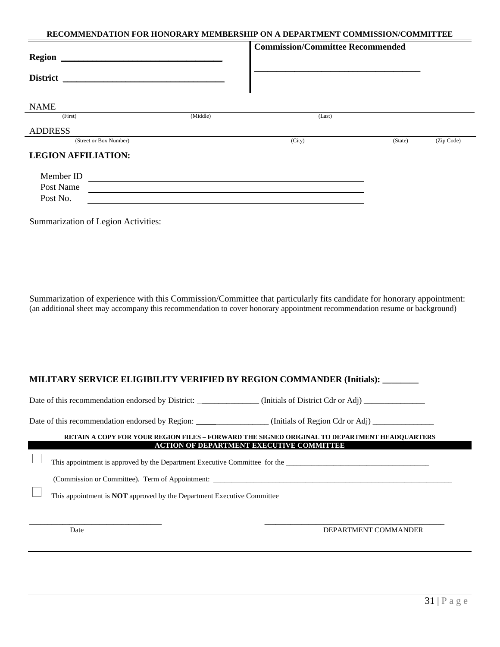#### **RECOMMENDATION FOR HONORARY MEMBERSHIP ON A DEPARTMENT COMMISSION/COMMITTEE**

| <b>Region</b>              |          | <b>Commission/Committee Recommended</b> |         |            |
|----------------------------|----------|-----------------------------------------|---------|------------|
| <b>District</b>            |          |                                         |         |            |
| <b>NAME</b>                |          |                                         |         |            |
| (First)                    | (Middle) | (Last)                                  |         |            |
| <b>ADDRESS</b>             |          |                                         |         |            |
| (Street or Box Number)     |          | (City)                                  | (State) | (Zip Code) |
| <b>LEGION AFFILIATION:</b> |          |                                         |         |            |
| Member ID                  |          |                                         |         |            |
| Post Name                  |          |                                         |         |            |
| Post No.                   |          |                                         |         |            |
|                            |          |                                         |         |            |

Summarization of Legion Activities:

Summarization of experience with this Commission/Committee that particularly fits candidate for honorary appointment: (an additional sheet may accompany this recommendation to cover honorary appointment recommendation resume or background)

#### **MILITARY SERVICE ELIGIBILITY VERIFIED BY REGION COMMANDER (Initials): \_\_\_\_\_\_\_\_**

Date of this recommendation endorsed by District: \_\_\_\_\_\_\_\_\_\_\_\_\_\_ (Initials of District Cdr or Adj) \_\_\_\_\_\_\_\_\_\_\_

Date of this recommendation endorsed by Region: \_\_\_\_\_\_\_\_\_\_\_\_\_\_\_\_\_\_ (Initials of Region Cdr or Adj) \_\_\_\_\_\_\_\_\_\_\_

#### **RETAIN A COPY FOR YOUR REGION FILES – FORWARD THE SIGNED ORIGINAL TO DEPARTMENT HEADQUARTERS ACTION OF DEPARTMENT EXECUTIVE COMMITTEE**

This appointment is approved by the Department Executive Committee for the \_\_\_\_\_\_\_\_\_\_\_\_\_\_\_\_\_\_\_\_\_\_\_\_\_\_\_\_\_\_\_\_\_\_\_\_\_\_\_

(Commission or Committee). Term of Appointment: \_\_\_\_\_\_\_\_\_\_\_\_\_\_\_\_\_\_\_\_\_\_\_\_\_\_\_\_\_\_\_\_\_\_\_\_\_\_\_\_\_\_\_\_\_\_\_\_\_\_\_\_\_\_\_\_\_\_\_\_\_\_\_\_\_

This appointment is **NOT** approved by the Department Executive Committee

**\_\_\_\_\_\_\_\_\_\_\_\_\_\_\_\_\_\_\_\_\_\_\_\_\_\_\_\_\_\_\_\_\_\_\_\_ \_\_\_\_\_\_\_\_\_\_\_\_\_\_\_\_\_\_\_\_\_\_\_\_\_\_\_\_\_\_\_\_\_\_\_\_\_\_\_\_\_\_\_\_\_\_\_\_\_** Date DEPARTMENT COMMANDER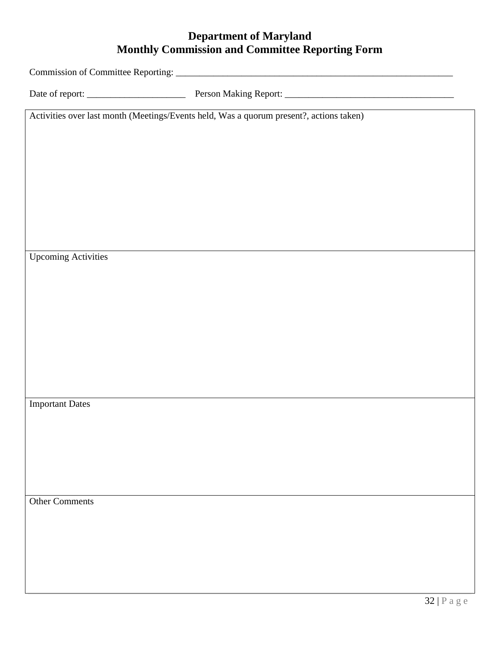# **Department of Maryland Monthly Commission and Committee Reporting Form**

Commission of Committee Reporting: \_\_\_\_\_\_\_\_\_\_\_\_\_\_\_\_\_\_\_\_\_\_\_\_\_\_\_\_\_\_\_\_\_\_\_\_\_\_\_\_\_\_\_\_\_\_\_\_\_\_\_\_\_\_\_\_\_\_\_

Date of report: \_\_\_\_\_\_\_\_\_\_\_\_\_\_\_\_\_\_\_\_\_ Person Making Report: \_\_\_\_\_\_\_\_\_\_\_\_\_\_\_\_\_\_\_\_\_\_\_\_\_\_\_\_\_\_\_\_\_\_\_\_

Activities over last month (Meetings/Events held, Was a quorum present?, actions taken)

Upcoming Activities

Important Dates

Other Comments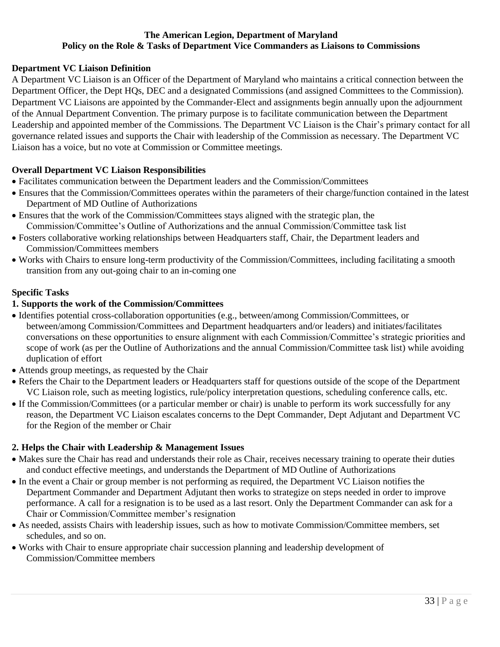### **The American Legion, Department of Maryland Policy on the Role & Tasks of Department Vice Commanders as Liaisons to Commissions**

### **Department VC Liaison Definition**

A Department VC Liaison is an Officer of the Department of Maryland who maintains a critical connection between the Department Officer, the Dept HQs, DEC and a designated Commissions (and assigned Committees to the Commission). Department VC Liaisons are appointed by the Commander-Elect and assignments begin annually upon the adjournment of the Annual Department Convention. The primary purpose is to facilitate communication between the Department Leadership and appointed member of the Commissions. The Department VC Liaison is the Chair's primary contact for all governance related issues and supports the Chair with leadership of the Commission as necessary. The Department VC Liaison has a voice, but no vote at Commission or Committee meetings.

### **Overall Department VC Liaison Responsibilities**

- Facilitates communication between the Department leaders and the Commission/Committees
- Ensures that the Commission/Committees operates within the parameters of their charge/function contained in the latest Department of MD Outline of Authorizations
- Ensures that the work of the Commission/Committees stays aligned with the strategic plan, the Commission/Committee's Outline of Authorizations and the annual Commission/Committee task list
- Fosters collaborative working relationships between Headquarters staff, Chair, the Department leaders and Commission/Committees members
- Works with Chairs to ensure long-term productivity of the Commission/Committees, including facilitating a smooth transition from any out-going chair to an in-coming one

### **Specific Tasks**

### **1. Supports the work of the Commission/Committees**

- Identifies potential cross-collaboration opportunities (e.g., between/among Commission/Committees, or between/among Commission/Committees and Department headquarters and/or leaders) and initiates/facilitates conversations on these opportunities to ensure alignment with each Commission/Committee's strategic priorities and scope of work (as per the Outline of Authorizations and the annual Commission/Committee task list) while avoiding duplication of effort
- Attends group meetings, as requested by the Chair
- Refers the Chair to the Department leaders or Headquarters staff for questions outside of the scope of the Department VC Liaison role, such as meeting logistics, rule/policy interpretation questions, scheduling conference calls, etc.
- If the Commission/Committees (or a particular member or chair) is unable to perform its work successfully for any reason, the Department VC Liaison escalates concerns to the Dept Commander, Dept Adjutant and Department VC for the Region of the member or Chair

### **2. Helps the Chair with Leadership & Management Issues**

- Makes sure the Chair has read and understands their role as Chair, receives necessary training to operate their duties and conduct effective meetings, and understands the Department of MD Outline of Authorizations
- In the event a Chair or group member is not performing as required, the Department VC Liaison notifies the Department Commander and Department Adjutant then works to strategize on steps needed in order to improve performance. A call for a resignation is to be used as a last resort. Only the Department Commander can ask for a Chair or Commission/Committee member's resignation
- As needed, assists Chairs with leadership issues, such as how to motivate Commission/Committee members, set schedules, and so on.
- Works with Chair to ensure appropriate chair succession planning and leadership development of Commission/Committee members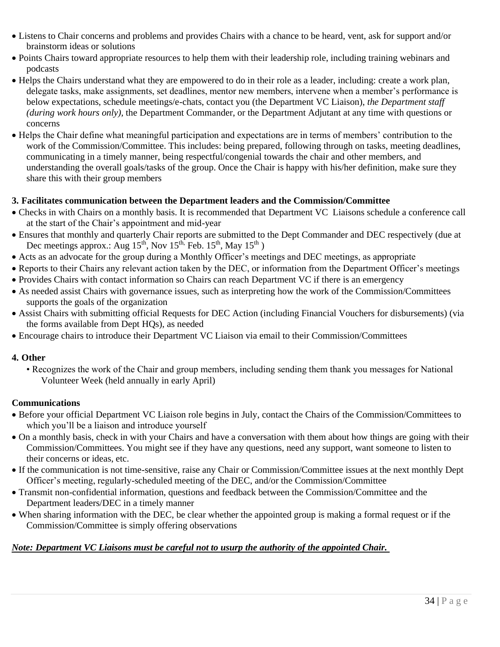- Listens to Chair concerns and problems and provides Chairs with a chance to be heard, vent, ask for support and/or brainstorm ideas or solutions
- Points Chairs toward appropriate resources to help them with their leadership role, including training webinars and podcasts
- Helps the Chairs understand what they are empowered to do in their role as a leader, including: create a work plan, delegate tasks, make assignments, set deadlines, mentor new members, intervene when a member's performance is below expectations, schedule meetings/e-chats, contact you (the Department VC Liaison), *the Department staff (during work hours only),* the Department Commander, or the Department Adjutant at any time with questions or concerns
- Helps the Chair define what meaningful participation and expectations are in terms of members' contribution to the work of the Commission/Committee. This includes: being prepared, following through on tasks, meeting deadlines, communicating in a timely manner, being respectful/congenial towards the chair and other members, and understanding the overall goals/tasks of the group. Once the Chair is happy with his/her definition, make sure they share this with their group members

# **3. Facilitates communication between the Department leaders and the Commission/Committee**

- Checks in with Chairs on a monthly basis. It is recommended that Department VC Liaisons schedule a conference call at the start of the Chair's appointment and mid-year
- Ensures that monthly and quarterly Chair reports are submitted to the Dept Commander and DEC respectively (due at Dec meetings approx.: Aug 15<sup>th</sup>, Nov 15<sup>th,</sup> Feb. 15<sup>th</sup>, May 15<sup>th</sup>)
- Acts as an advocate for the group during a Monthly Officer's meetings and DEC meetings, as appropriate
- Reports to their Chairs any relevant action taken by the DEC, or information from the Department Officer's meetings
- Provides Chairs with contact information so Chairs can reach Department VC if there is an emergency
- As needed assist Chairs with governance issues, such as interpreting how the work of the Commission/Committees supports the goals of the organization
- Assist Chairs with submitting official Requests for DEC Action (including Financial Vouchers for disbursements) (via the forms available from Dept HQs), as needed
- Encourage chairs to introduce their Department VC Liaison via email to their Commission/Committees

### **4. Other**

• Recognizes the work of the Chair and group members, including sending them thank you messages for National Volunteer Week (held annually in early April)

### **Communications**

- Before your official Department VC Liaison role begins in July, contact the Chairs of the Commission/Committees to which you'll be a liaison and introduce yourself
- On a monthly basis, check in with your Chairs and have a conversation with them about how things are going with their Commission/Committees. You might see if they have any questions, need any support, want someone to listen to their concerns or ideas, etc.
- If the communication is not time-sensitive, raise any Chair or Commission/Committee issues at the next monthly Dept Officer's meeting, regularly-scheduled meeting of the DEC, and/or the Commission/Committee
- Transmit non-confidential information, questions and feedback between the Commission/Committee and the Department leaders/DEC in a timely manner
- When sharing information with the DEC, be clear whether the appointed group is making a formal request or if the Commission/Committee is simply offering observations

# *Note: Department VC Liaisons must be careful not to usurp the authority of the appointed Chair.*